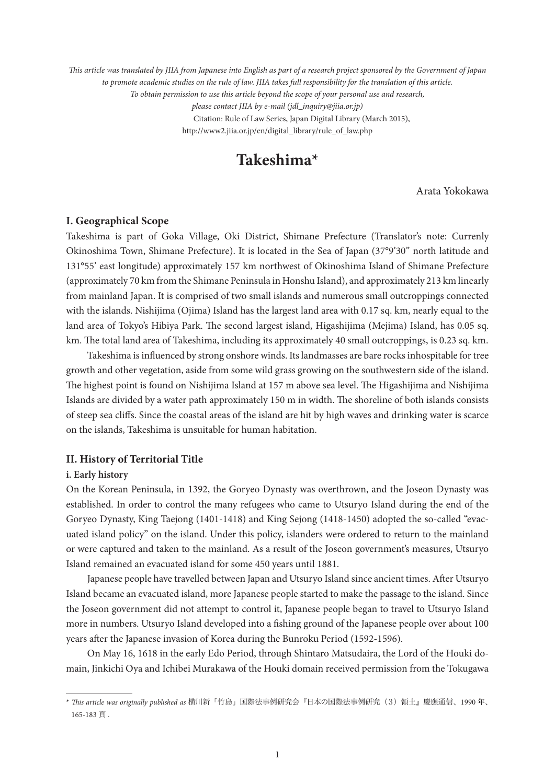*This article was translated by JIIA from Japanese into English as part of a research project sponsored by the Government of Japan to promote academic studies on the rule of law. JIIA takes full responsibility for the translation of this article. To obtain permission to use this article beyond the scope of your personal use and research, please contact JIIA by e-mail (jdl\_inquiry@jiia.or.jp)* Citation: Rule of Law Series, Japan Digital Library (March 2015), http://www2.jiia.or.jp/en/digital\_library/rule\_of\_law.php

# **Takeshima\*1**

Arata Yokokawa

## **I. Geographical Scope**

Takeshima is part of Goka Village, Oki District, Shimane Prefecture (Translator's note: Currenly Okinoshima Town, Shimane Prefecture). It is located in the Sea of Japan (37°9'30'' north latitude and 131°55' east longitude) approximately 157 km northwest of Okinoshima Island of Shimane Prefecture (approximately 70 km from the Shimane Peninsula in Honshu Island), and approximately 213 km linearly from mainland Japan. It is comprised of two small islands and numerous small outcroppings connected with the islands. Nishijima (Ojima) Island has the largest land area with 0.17 sq. km, nearly equal to the land area of Tokyo's Hibiya Park. The second largest island, Higashijima (Mejima) Island, has 0.05 sq. km. The total land area of Takeshima, including its approximately 40 small outcroppings, is 0.23 sq. km.

Takeshima is influenced by strong onshore winds. Its landmasses are bare rocks inhospitable for tree growth and other vegetation, aside from some wild grass growing on the southwestern side of the island. The highest point is found on Nishijima Island at 157 m above sea level. The Higashijima and Nishijima Islands are divided by a water path approximately 150 m in width. The shoreline of both islands consists of steep sea cliffs. Since the coastal areas of the island are hit by high waves and drinking water is scarce on the islands, Takeshima is unsuitable for human habitation.

## **II. History of Territorial Title**

#### **i. Early history**

On the Korean Peninsula, in 1392, the Goryeo Dynasty was overthrown, and the Joseon Dynasty was established. In order to control the many refugees who came to Utsuryo Island during the end of the Goryeo Dynasty, King Taejong (1401-1418) and King Sejong (1418-1450) adopted the so-called "evacuated island policy" on the island. Under this policy, islanders were ordered to return to the mainland or were captured and taken to the mainland. As a result of the Joseon government's measures, Utsuryo Island remained an evacuated island for some 450 years until 1881.

Japanese people have travelled between Japan and Utsuryo Island since ancient times. After Utsuryo Island became an evacuated island, more Japanese people started to make the passage to the island. Since the Joseon government did not attempt to control it, Japanese people began to travel to Utsuryo Island more in numbers. Utsuryo Island developed into a fishing ground of the Japanese people over about 100 years after the Japanese invasion of Korea during the Bunroku Period (1592-1596).

On May 16, 1618 in the early Edo Period, through Shintaro Matsudaira, the Lord of the Houki domain, Jinkichi Oya and Ichibei Murakawa of the Houki domain received permission from the Tokugawa

<sup>\*</sup> *This article was originally published as* 横川新「竹島」国際法事例研究会『日本の国際法事例研究(3)領土』慶應通信、1990 年、 165-183 頁 .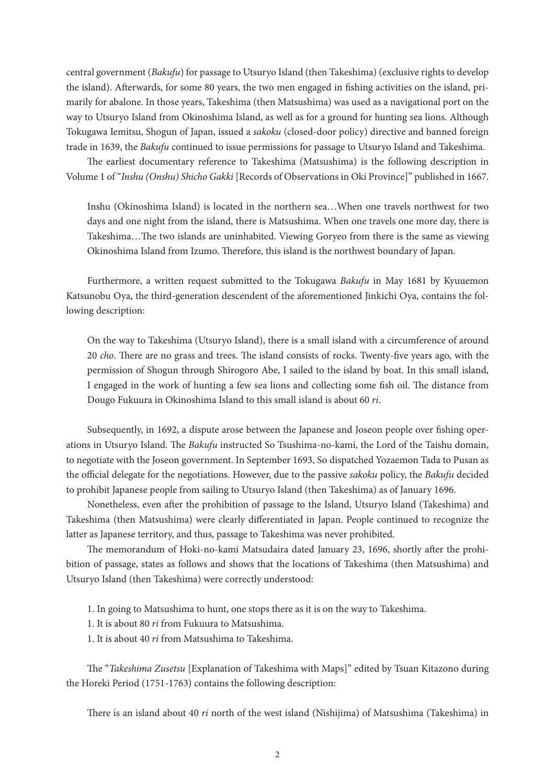central government (*Bakufu*) for passage to Utsuryo Island (then Takeshima) (exclusive rights to develop the island). Afterwards, for some 80 years, the two men engaged in fishing activities on the island, primarily for abalone. In those years, Takeshima (then Matsushima) was used as a navigational port on the way to Utsuryo Island from Okinoshima Island, as well as for a ground for hunting sea lions. Although Tokugawa Iemitsu, Shogun of Japan, issued a *sakoku* (closed-door policy) directive and banned foreign trade in 1639, the *Bakufu* continued to issue permissions for passage to Utsuryo Island and Takeshima.

The earliest documentary reference to Takeshima (Matsushima) is the following description in Volume 1 of "*Inshu (Onshu) Shicho Gakki* [Records of Observations in Oki Province]" published in 1667.

Inshu (Okinoshima Island) is located in the northern sea…When one travels northwest for two days and one night from the island, there is Matsushima. When one travels one more day, there is Takeshima…The two islands are uninhabited. Viewing Goryeo from there is the same as viewing Okinoshima Island from Izumo. Therefore, this island is the northwest boundary of Japan.

Furthermore, a written request submitted to the Tokugawa *Bakufu* in May 1681 by Kyuuemon Katsunobu Oya, the third-generation descendent of the aforementioned Jinkichi Oya, contains the following description:

On the way to Takeshima (Utsuryo Island), there is a small island with a circumference of around 20 *cho*. There are no grass and trees. The island consists of rocks. Twenty-five years ago, with the permission of Shogun through Shirogoro Abe, I sailed to the island by boat. In this small island, I engaged in the work of hunting a few sea lions and collecting some fish oil. The distance from Dougo Fukuura in Okinoshima Island to this small island is about 60 *ri*.

Subsequently, in 1692, a dispute arose between the Japanese and Joseon people over fishing operations in Utsuryo Island. The *Bakufu* instructed So Tsushima-no-kami, the Lord of the Taishu domain, to negotiate with the Joseon government. In September 1693, So dispatched Yozaemon Tada to Pusan as the official delegate for the negotiations. However, due to the passive *sakoku* policy, the *Bakufu* decided to prohibit Japanese people from sailing to Utsuryo Island (then Takeshima) as of January 1696.

Nonetheless, even after the prohibition of passage to the Island, Utsuryo Island (Takeshima) and Takeshima (then Matsushima) were clearly differentiated in Japan. People continued to recognize the latter as Japanese territory, and thus, passage to Takeshima was never prohibited.

The memorandum of Hoki-no-kami Matsudaira dated January 23, 1696, shortly after the prohibition of passage, states as follows and shows that the locations of Takeshima (then Matsushima) and Utsuryo Island (then Takeshima) were correctly understood:

1. In going to Matsushima to hunt, one stops there as it is on the way to Takeshima.

- 1. It is about 80 *ri* from Fukuura to Matsushima.
- 1. It is about 40 *ri* from Matsushima to Takeshima.

The "*Takeshima Zusetsu* [Explanation of Takeshima with Maps]" edited by Tsuan Kitazono during the Horeki Period (1751-1763) contains the following description:

There is an island about 40 *ri* north of the west island (Nishijima) of Matsushima (Takeshima) in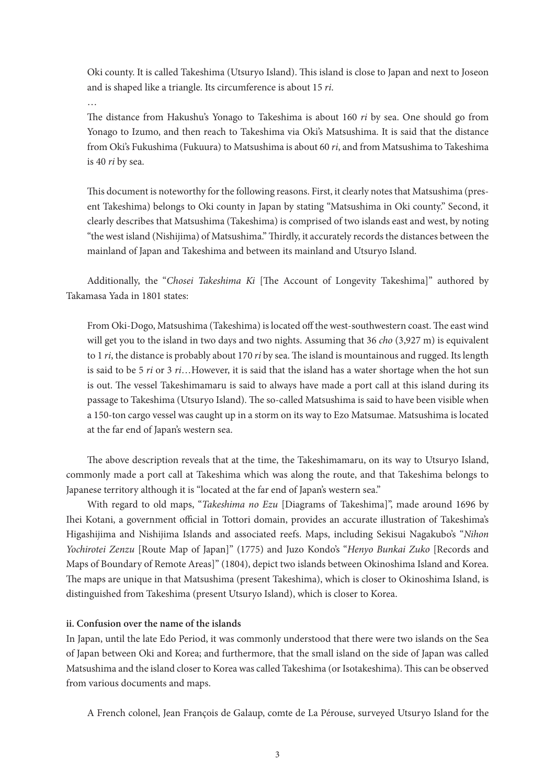Oki county. It is called Takeshima (Utsuryo Island). This island is close to Japan and next to Joseon and is shaped like a triangle. Its circumference is about 15 *ri*.

…

The distance from Hakushu's Yonago to Takeshima is about 160 *ri* by sea. One should go from Yonago to Izumo, and then reach to Takeshima via Oki's Matsushima. It is said that the distance from Oki's Fukushima (Fukuura) to Matsushima is about 60 *ri*, and from Matsushima to Takeshima is 40 *ri* by sea.

This document is noteworthy for the following reasons. First, it clearly notes that Matsushima (present Takeshima) belongs to Oki county in Japan by stating "Matsushima in Oki county." Second, it clearly describes that Matsushima (Takeshima) is comprised of two islands east and west, by noting "the west island (Nishijima) of Matsushima." Thirdly, it accurately records the distances between the mainland of Japan and Takeshima and between its mainland and Utsuryo Island.

Additionally, the "*Chosei Takeshima Ki* [The Account of Longevity Takeshima]" authored by Takamasa Yada in 1801 states:

From Oki-Dogo, Matsushima (Takeshima) is located off the west-southwestern coast. The east wind will get you to the island in two days and two nights. Assuming that 36 *cho* (3,927 m) is equivalent to 1 *ri*, the distance is probably about 170 *ri* by sea. The island is mountainous and rugged. Its length is said to be 5 *ri* or 3 *ri*…However, it is said that the island has a water shortage when the hot sun is out. The vessel Takeshimamaru is said to always have made a port call at this island during its passage to Takeshima (Utsuryo Island). The so-called Matsushima is said to have been visible when a 150-ton cargo vessel was caught up in a storm on its way to Ezo Matsumae. Matsushima is located at the far end of Japan's western sea.

The above description reveals that at the time, the Takeshimamaru, on its way to Utsuryo Island, commonly made a port call at Takeshima which was along the route, and that Takeshima belongs to Japanese territory although it is "located at the far end of Japan's western sea."

With regard to old maps, "*Takeshima no Ezu* [Diagrams of Takeshima]", made around 1696 by Ihei Kotani, a government official in Tottori domain, provides an accurate illustration of Takeshima's Higashijima and Nishijima Islands and associated reefs. Maps, including Sekisui Nagakubo's "*Nihon Yochirotei Zenzu* [Route Map of Japan]" (1775) and Juzo Kondo's "*Henyo Bunkai Zuko* [Records and Maps of Boundary of Remote Areas]" (1804), depict two islands between Okinoshima Island and Korea. The maps are unique in that Matsushima (present Takeshima), which is closer to Okinoshima Island, is distinguished from Takeshima (present Utsuryo Island), which is closer to Korea.

# **ii. Confusion over the name of the islands**

In Japan, until the late Edo Period, it was commonly understood that there were two islands on the Sea of Japan between Oki and Korea; and furthermore, that the small island on the side of Japan was called Matsushima and the island closer to Korea was called Takeshima (or Isotakeshima). This can be observed from various documents and maps.

A French colonel, Jean François de Galaup, comte de La Pérouse, surveyed Utsuryo Island for the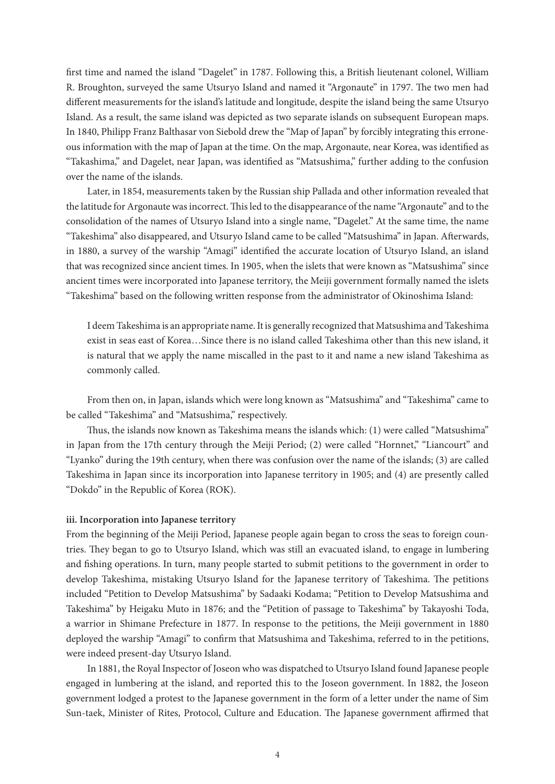first time and named the island "Dagelet" in 1787. Following this, a British lieutenant colonel, William R. Broughton, surveyed the same Utsuryo Island and named it "Argonaute" in 1797. The two men had different measurements for the island's latitude and longitude, despite the island being the same Utsuryo Island. As a result, the same island was depicted as two separate islands on subsequent European maps. In 1840, Philipp Franz Balthasar von Siebold drew the "Map of Japan" by forcibly integrating this erroneous information with the map of Japan at the time. On the map, Argonaute, near Korea, was identified as "Takashima," and Dagelet, near Japan, was identified as "Matsushima," further adding to the confusion over the name of the islands.

Later, in 1854, measurements taken by the Russian ship Pallada and other information revealed that the latitude for Argonaute was incorrect. This led to the disappearance of the name "Argonaute" and to the consolidation of the names of Utsuryo Island into a single name, "Dagelet." At the same time, the name "Takeshima" also disappeared, and Utsuryo Island came to be called "Matsushima" in Japan. Afterwards, in 1880, a survey of the warship "Amagi" identified the accurate location of Utsuryo Island, an island that was recognized since ancient times. In 1905, when the islets that were known as "Matsushima" since ancient times were incorporated into Japanese territory, the Meiji government formally named the islets "Takeshima" based on the following written response from the administrator of Okinoshima Island:

I deem Takeshima is an appropriate name. It is generally recognized that Matsushima and Takeshima exist in seas east of Korea…Since there is no island called Takeshima other than this new island, it is natural that we apply the name miscalled in the past to it and name a new island Takeshima as commonly called.

From then on, in Japan, islands which were long known as "Matsushima" and "Takeshima" came to be called "Takeshima" and "Matsushima," respectively.

Thus, the islands now known as Takeshima means the islands which: (1) were called "Matsushima" in Japan from the 17th century through the Meiji Period; (2) were called "Hornnet," "Liancourt" and "Lyanko" during the 19th century, when there was confusion over the name of the islands; (3) are called Takeshima in Japan since its incorporation into Japanese territory in 1905; and (4) are presently called "Dokdo" in the Republic of Korea (ROK).

## **iii. Incorporation into Japanese territory**

From the beginning of the Meiji Period, Japanese people again began to cross the seas to foreign countries. They began to go to Utsuryo Island, which was still an evacuated island, to engage in lumbering and fishing operations. In turn, many people started to submit petitions to the government in order to develop Takeshima, mistaking Utsuryo Island for the Japanese territory of Takeshima. The petitions included "Petition to Develop Matsushima" by Sadaaki Kodama; "Petition to Develop Matsushima and Takeshima" by Heigaku Muto in 1876; and the "Petition of passage to Takeshima" by Takayoshi Toda, a warrior in Shimane Prefecture in 1877. In response to the petitions, the Meiji government in 1880 deployed the warship "Amagi" to confirm that Matsushima and Takeshima, referred to in the petitions, were indeed present-day Utsuryo Island.

In 1881, the Royal Inspector of Joseon who was dispatched to Utsuryo Island found Japanese people engaged in lumbering at the island, and reported this to the Joseon government. In 1882, the Joseon government lodged a protest to the Japanese government in the form of a letter under the name of Sim Sun-taek, Minister of Rites, Protocol, Culture and Education. The Japanese government affirmed that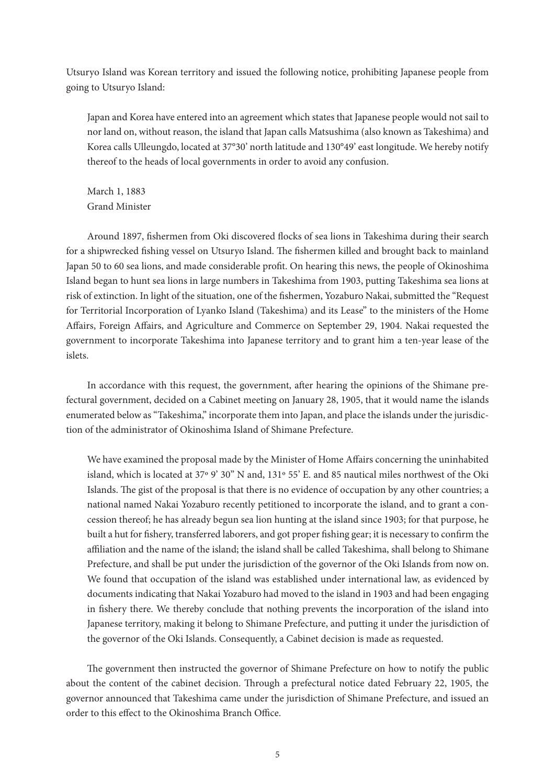Utsuryo Island was Korean territory and issued the following notice, prohibiting Japanese people from going to Utsuryo Island:

Japan and Korea have entered into an agreement which states that Japanese people would not sail to nor land on, without reason, the island that Japan calls Matsushima (also known as Takeshima) and Korea calls Ulleungdo, located at 37°30' north latitude and 130°49' east longitude. We hereby notify thereof to the heads of local governments in order to avoid any confusion.

March 1, 1883 Grand Minister

Around 1897, fishermen from Oki discovered flocks of sea lions in Takeshima during their search for a shipwrecked fishing vessel on Utsuryo Island. The fishermen killed and brought back to mainland Japan 50 to 60 sea lions, and made considerable profit. On hearing this news, the people of Okinoshima Island began to hunt sea lions in large numbers in Takeshima from 1903, putting Takeshima sea lions at risk of extinction. In light of the situation, one of the fishermen, Yozaburo Nakai, submitted the "Request for Territorial Incorporation of Lyanko Island (Takeshima) and its Lease" to the ministers of the Home Affairs, Foreign Affairs, and Agriculture and Commerce on September 29, 1904. Nakai requested the government to incorporate Takeshima into Japanese territory and to grant him a ten-year lease of the islets.

In accordance with this request, the government, after hearing the opinions of the Shimane prefectural government, decided on a Cabinet meeting on January 28, 1905, that it would name the islands enumerated below as "Takeshima," incorporate them into Japan, and place the islands under the jurisdiction of the administrator of Okinoshima Island of Shimane Prefecture.

We have examined the proposal made by the Minister of Home Affairs concerning the uninhabited island, which is located at 37º 9' 30" N and, 131º 55' E. and 85 nautical miles northwest of the Oki Islands. The gist of the proposal is that there is no evidence of occupation by any other countries; a national named Nakai Yozaburo recently petitioned to incorporate the island, and to grant a concession thereof; he has already begun sea lion hunting at the island since 1903; for that purpose, he built a hut for fishery, transferred laborers, and got proper fishing gear; it is necessary to confirm the affiliation and the name of the island; the island shall be called Takeshima, shall belong to Shimane Prefecture, and shall be put under the jurisdiction of the governor of the Oki Islands from now on. We found that occupation of the island was established under international law, as evidenced by documents indicating that Nakai Yozaburo had moved to the island in 1903 and had been engaging in fishery there. We thereby conclude that nothing prevents the incorporation of the island into Japanese territory, making it belong to Shimane Prefecture, and putting it under the jurisdiction of the governor of the Oki Islands. Consequently, a Cabinet decision is made as requested.

The government then instructed the governor of Shimane Prefecture on how to notify the public about the content of the cabinet decision. Through a prefectural notice dated February 22, 1905, the governor announced that Takeshima came under the jurisdiction of Shimane Prefecture, and issued an order to this effect to the Okinoshima Branch Office.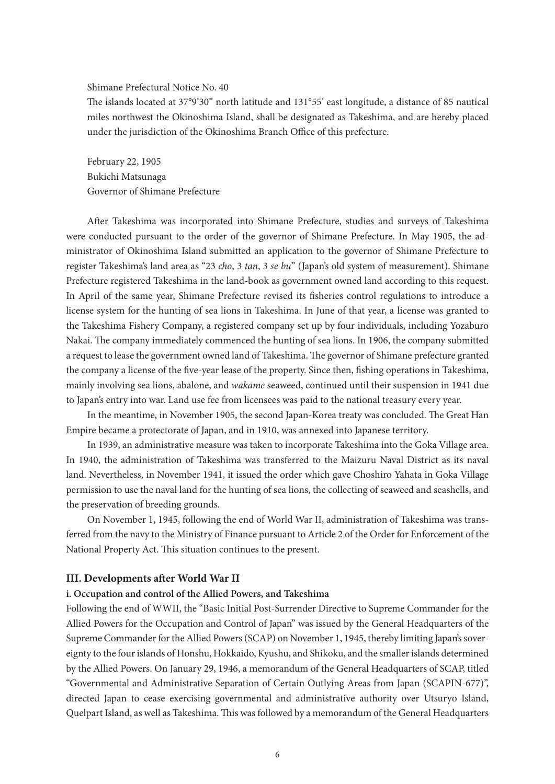Shimane Prefectural Notice No. 40

The islands located at 37°9'30'' north latitude and 131°55' east longitude, a distance of 85 nautical miles northwest the Okinoshima Island, shall be designated as Takeshima, and are hereby placed under the jurisdiction of the Okinoshima Branch Office of this prefecture.

February 22, 1905 Bukichi Matsunaga Governor of Shimane Prefecture

After Takeshima was incorporated into Shimane Prefecture, studies and surveys of Takeshima were conducted pursuant to the order of the governor of Shimane Prefecture. In May 1905, the administrator of Okinoshima Island submitted an application to the governor of Shimane Prefecture to register Takeshima's land area as "23 *cho*, 3 *tan*, 3 *se bu*" (Japan's old system of measurement). Shimane Prefecture registered Takeshima in the land-book as government owned land according to this request. In April of the same year, Shimane Prefecture revised its fisheries control regulations to introduce a license system for the hunting of sea lions in Takeshima. In June of that year, a license was granted to the Takeshima Fishery Company, a registered company set up by four individuals, including Yozaburo Nakai. The company immediately commenced the hunting of sea lions. In 1906, the company submitted a request to lease the government owned land of Takeshima. The governor of Shimane prefecture granted the company a license of the five-year lease of the property. Since then, fishing operations in Takeshima, mainly involving sea lions, abalone, and *wakame* seaweed, continued until their suspension in 1941 due to Japan's entry into war. Land use fee from licensees was paid to the national treasury every year.

In the meantime, in November 1905, the second Japan-Korea treaty was concluded. The Great Han Empire became a protectorate of Japan, and in 1910, was annexed into Japanese territory.

In 1939, an administrative measure was taken to incorporate Takeshima into the Goka Village area. In 1940, the administration of Takeshima was transferred to the Maizuru Naval District as its naval land. Nevertheless, in November 1941, it issued the order which gave Choshiro Yahata in Goka Village permission to use the naval land for the hunting of sea lions, the collecting of seaweed and seashells, and the preservation of breeding grounds.

On November 1, 1945, following the end of World War II, administration of Takeshima was transferred from the navy to the Ministry of Finance pursuant to Article 2 of the Order for Enforcement of the National Property Act. This situation continues to the present.

## **III. Developments after World War II**

#### **i. Occupation and control of the Allied Powers, and Takeshima**

Following the end of WWII, the "Basic Initial Post-Surrender Directive to Supreme Commander for the Allied Powers for the Occupation and Control of Japan" was issued by the General Headquarters of the Supreme Commander for the Allied Powers (SCAP) on November 1, 1945, thereby limiting Japan's sovereignty to the four islands of Honshu, Hokkaido, Kyushu, and Shikoku, and the smaller islands determined by the Allied Powers. On January 29, 1946, a memorandum of the General Headquarters of SCAP, titled "Governmental and Administrative Separation of Certain Outlying Areas from Japan (SCAPIN-677)", directed Japan to cease exercising governmental and administrative authority over Utsuryo Island, Quelpart Island, as well as Takeshima. This was followed by a memorandum of the General Headquarters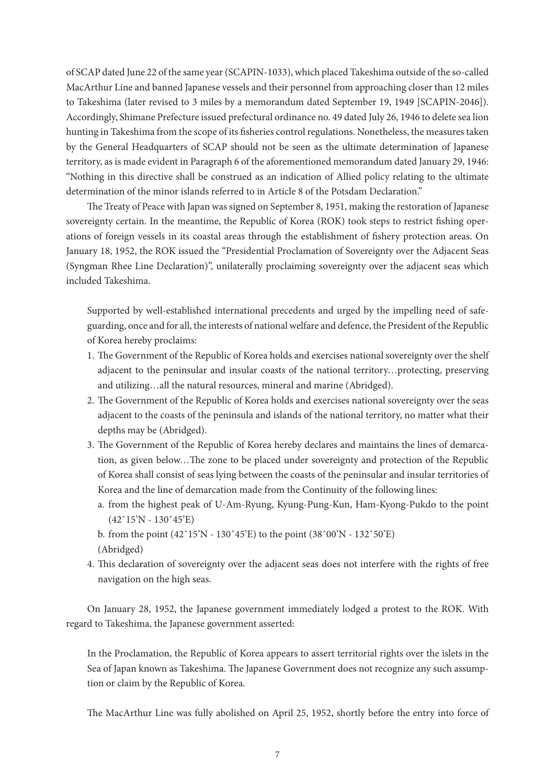of SCAP dated June 22 of the same year (SCAPIN-1033), which placed Takeshima outside of the so-called MacArthur Line and banned Japanese vessels and their personnel from approaching closer than 12 miles to Takeshima (later revised to 3 miles by a memorandum dated September 19, 1949 [SCAPIN-2046]). Accordingly, Shimane Prefecture issued prefectural ordinance no. 49 dated July 26, 1946 to delete sea lion hunting in Takeshima from the scope of its fisheries control regulations. Nonetheless, the measures taken by the General Headquarters of SCAP should not be seen as the ultimate determination of Japanese territory, as is made evident in Paragraph 6 of the aforementioned memorandum dated January 29, 1946: "Nothing in this directive shall be construed as an indication of Allied policy relating to the ultimate determination of the minor islands referred to in Article 8 of the Potsdam Declaration."

The Treaty of Peace with Japan was signed on September 8, 1951, making the restoration of Japanese sovereignty certain. In the meantime, the Republic of Korea (ROK) took steps to restrict fishing operations of foreign vessels in its coastal areas through the establishment of fishery protection areas. On January 18, 1952, the ROK issued the "Presidential Proclamation of Sovereignty over the Adjacent Seas (Syngman Rhee Line Declaration)", unilaterally proclaiming sovereignty over the adjacent seas which included Takeshima.

Supported by well-established international precedents and urged by the impelling need of safeguarding, once and for all, the interests of national welfare and defence, the President of the Republic of Korea hereby proclaims:

- 1. The Government of the Republic of Korea holds and exercises national sovereignty over the shelf adjacent to the peninsular and insular coasts of the national territory…protecting, preserving and utilizing…all the natural resources, mineral and marine (Abridged).
- 2. The Government of the Republic of Korea holds and exercises national sovereignty over the seas adjacent to the coasts of the peninsula and islands of the national territory, no matter what their depths may be (Abridged).
- 3. The Government of the Republic of Korea hereby declares and maintains the lines of demarcation, as given below…The zone to be placed under sovereignty and protection of the Republic of Korea shall consist of seas lying between the coasts of the peninsular and insular territories of Korea and the line of demarcation made from the Continuity of the following lines:
	- a. from the highest peak of U-Am-Ryung, Kyung-Pung-Kun, Ham-Kyong-Pukdo to the point (42˚15'N - 130˚45'E)
	- b. from the point (42˚15'N 130˚45'E) to the point (38˚00'N 132˚50'E) (Abridged)
- 4. This declaration of sovereignty over the adjacent seas does not interfere with the rights of free navigation on the high seas.

On January 28, 1952, the Japanese government immediately lodged a protest to the ROK. With regard to Takeshima, the Japanese government asserted:

In the Proclamation, the Republic of Korea appears to assert territorial rights over the islets in the Sea of Japan known as Takeshima. The Japanese Government does not recognize any such assumption or claim by the Republic of Korea.

The MacArthur Line was fully abolished on April 25, 1952, shortly before the entry into force of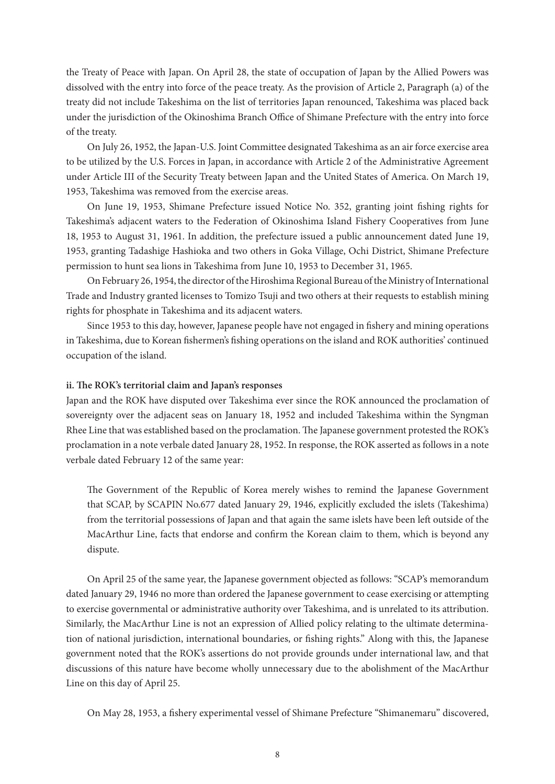the Treaty of Peace with Japan. On April 28, the state of occupation of Japan by the Allied Powers was dissolved with the entry into force of the peace treaty. As the provision of Article 2, Paragraph (a) of the treaty did not include Takeshima on the list of territories Japan renounced, Takeshima was placed back under the jurisdiction of the Okinoshima Branch Office of Shimane Prefecture with the entry into force of the treaty.

On July 26, 1952, the Japan-U.S. Joint Committee designated Takeshima as an air force exercise area to be utilized by the U.S. Forces in Japan, in accordance with Article 2 of the Administrative Agreement under Article III of the Security Treaty between Japan and the United States of America. On March 19, 1953, Takeshima was removed from the exercise areas.

On June 19, 1953, Shimane Prefecture issued Notice No. 352, granting joint fishing rights for Takeshima's adjacent waters to the Federation of Okinoshima Island Fishery Cooperatives from June 18, 1953 to August 31, 1961. In addition, the prefecture issued a public announcement dated June 19, 1953, granting Tadashige Hashioka and two others in Goka Village, Ochi District, Shimane Prefecture permission to hunt sea lions in Takeshima from June 10, 1953 to December 31, 1965.

On February 26, 1954, the director of the Hiroshima Regional Bureau of the Ministry of International Trade and Industry granted licenses to Tomizo Tsuji and two others at their requests to establish mining rights for phosphate in Takeshima and its adjacent waters.

Since 1953 to this day, however, Japanese people have not engaged in fishery and mining operations in Takeshima, due to Korean fishermen's fishing operations on the island and ROK authorities' continued occupation of the island.

## **ii. The ROK's territorial claim and Japan's responses**

Japan and the ROK have disputed over Takeshima ever since the ROK announced the proclamation of sovereignty over the adjacent seas on January 18, 1952 and included Takeshima within the Syngman Rhee Line that was established based on the proclamation. The Japanese government protested the ROK's proclamation in a note verbale dated January 28, 1952. In response, the ROK asserted as follows in a note verbale dated February 12 of the same year:

The Government of the Republic of Korea merely wishes to remind the Japanese Government that SCAP, by SCAPIN No.677 dated January 29, 1946, explicitly excluded the islets (Takeshima) from the territorial possessions of Japan and that again the same islets have been left outside of the MacArthur Line, facts that endorse and confirm the Korean claim to them, which is beyond any dispute.

On April 25 of the same year, the Japanese government objected as follows: "SCAP's memorandum dated January 29, 1946 no more than ordered the Japanese government to cease exercising or attempting to exercise governmental or administrative authority over Takeshima, and is unrelated to its attribution. Similarly, the MacArthur Line is not an expression of Allied policy relating to the ultimate determination of national jurisdiction, international boundaries, or fishing rights." Along with this, the Japanese government noted that the ROK's assertions do not provide grounds under international law, and that discussions of this nature have become wholly unnecessary due to the abolishment of the MacArthur Line on this day of April 25.

On May 28, 1953, a fishery experimental vessel of Shimane Prefecture "Shimanemaru" discovered,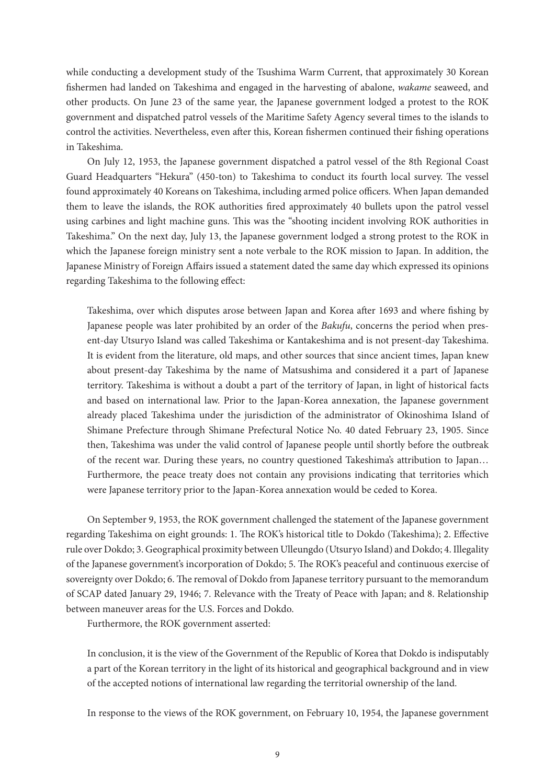while conducting a development study of the Tsushima Warm Current, that approximately 30 Korean fishermen had landed on Takeshima and engaged in the harvesting of abalone, *wakame* seaweed, and other products. On June 23 of the same year, the Japanese government lodged a protest to the ROK government and dispatched patrol vessels of the Maritime Safety Agency several times to the islands to control the activities. Nevertheless, even after this, Korean fishermen continued their fishing operations in Takeshima.

On July 12, 1953, the Japanese government dispatched a patrol vessel of the 8th Regional Coast Guard Headquarters "Hekura" (450-ton) to Takeshima to conduct its fourth local survey. The vessel found approximately 40 Koreans on Takeshima, including armed police officers. When Japan demanded them to leave the islands, the ROK authorities fired approximately 40 bullets upon the patrol vessel using carbines and light machine guns. This was the "shooting incident involving ROK authorities in Takeshima." On the next day, July 13, the Japanese government lodged a strong protest to the ROK in which the Japanese foreign ministry sent a note verbale to the ROK mission to Japan. In addition, the Japanese Ministry of Foreign Affairs issued a statement dated the same day which expressed its opinions regarding Takeshima to the following effect:

Takeshima, over which disputes arose between Japan and Korea after 1693 and where fishing by Japanese people was later prohibited by an order of the *Bakufu*, concerns the period when present-day Utsuryo Island was called Takeshima or Kantakeshima and is not present-day Takeshima. It is evident from the literature, old maps, and other sources that since ancient times, Japan knew about present-day Takeshima by the name of Matsushima and considered it a part of Japanese territory. Takeshima is without a doubt a part of the territory of Japan, in light of historical facts and based on international law. Prior to the Japan-Korea annexation, the Japanese government already placed Takeshima under the jurisdiction of the administrator of Okinoshima Island of Shimane Prefecture through Shimane Prefectural Notice No. 40 dated February 23, 1905. Since then, Takeshima was under the valid control of Japanese people until shortly before the outbreak of the recent war. During these years, no country questioned Takeshima's attribution to Japan… Furthermore, the peace treaty does not contain any provisions indicating that territories which were Japanese territory prior to the Japan-Korea annexation would be ceded to Korea.

On September 9, 1953, the ROK government challenged the statement of the Japanese government regarding Takeshima on eight grounds: 1. The ROK's historical title to Dokdo (Takeshima); 2. Effective rule over Dokdo; 3. Geographical proximity between Ulleungdo (Utsuryo Island) and Dokdo; 4. Illegality of the Japanese government's incorporation of Dokdo; 5. The ROK's peaceful and continuous exercise of sovereignty over Dokdo; 6. The removal of Dokdo from Japanese territory pursuant to the memorandum of SCAP dated January 29, 1946; 7. Relevance with the Treaty of Peace with Japan; and 8. Relationship between maneuver areas for the U.S. Forces and Dokdo.

Furthermore, the ROK government asserted:

In conclusion, it is the view of the Government of the Republic of Korea that Dokdo is indisputably a part of the Korean territory in the light of its historical and geographical background and in view of the accepted notions of international law regarding the territorial ownership of the land.

In response to the views of the ROK government, on February 10, 1954, the Japanese government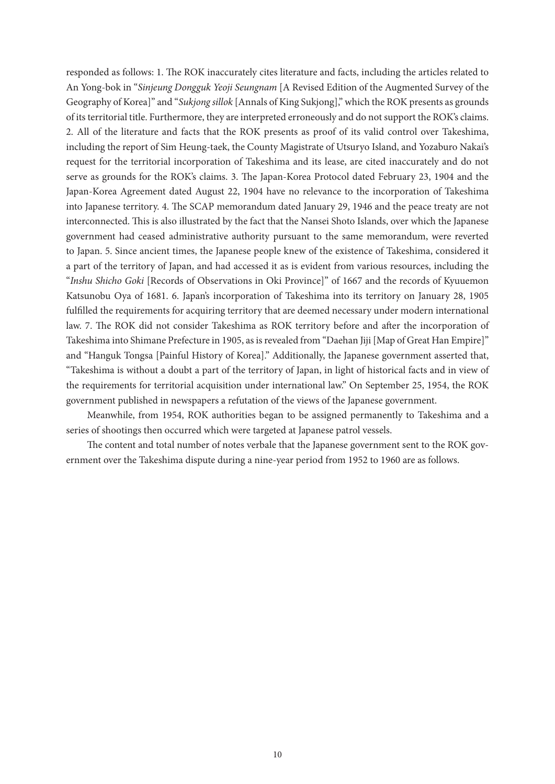responded as follows: 1. The ROK inaccurately cites literature and facts, including the articles related to An Yong-bok in "*Sinjeung Dongguk Yeoji Seungnam* [A Revised Edition of the Augmented Survey of the Geography of Korea]" and "*Sukjong sillok* [Annals of King Sukjong]," which the ROK presents as grounds of its territorial title. Furthermore, they are interpreted erroneously and do not support the ROK's claims. 2. All of the literature and facts that the ROK presents as proof of its valid control over Takeshima, including the report of Sim Heung-taek, the County Magistrate of Utsuryo Island, and Yozaburo Nakai's request for the territorial incorporation of Takeshima and its lease, are cited inaccurately and do not serve as grounds for the ROK's claims. 3. The Japan-Korea Protocol dated February 23, 1904 and the Japan-Korea Agreement dated August 22, 1904 have no relevance to the incorporation of Takeshima into Japanese territory. 4. The SCAP memorandum dated January 29, 1946 and the peace treaty are not interconnected. This is also illustrated by the fact that the Nansei Shoto Islands, over which the Japanese government had ceased administrative authority pursuant to the same memorandum, were reverted to Japan. 5. Since ancient times, the Japanese people knew of the existence of Takeshima, considered it a part of the territory of Japan, and had accessed it as is evident from various resources, including the "*Inshu Shicho Goki* [Records of Observations in Oki Province]" of 1667 and the records of Kyuuemon Katsunobu Oya of 1681. 6. Japan's incorporation of Takeshima into its territory on January 28, 1905 fulfilled the requirements for acquiring territory that are deemed necessary under modern international law. 7. The ROK did not consider Takeshima as ROK territory before and after the incorporation of Takeshima into Shimane Prefecture in 1905, as is revealed from "Daehan Jiji [Map of Great Han Empire]" and "Hanguk Tongsa [Painful History of Korea]." Additionally, the Japanese government asserted that, "Takeshima is without a doubt a part of the territory of Japan, in light of historical facts and in view of the requirements for territorial acquisition under international law." On September 25, 1954, the ROK government published in newspapers a refutation of the views of the Japanese government.

Meanwhile, from 1954, ROK authorities began to be assigned permanently to Takeshima and a series of shootings then occurred which were targeted at Japanese patrol vessels.

The content and total number of notes verbale that the Japanese government sent to the ROK government over the Takeshima dispute during a nine-year period from 1952 to 1960 are as follows.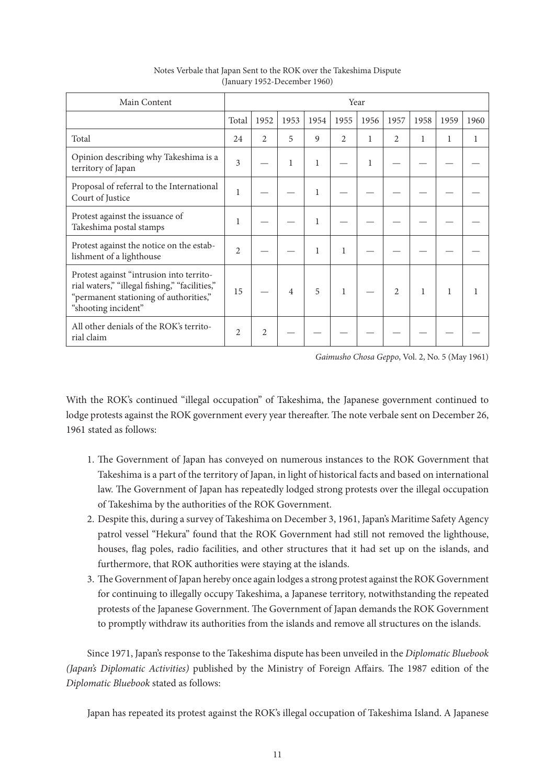| Main Content                                                                                                                                                | Year           |                |                |      |                |              |                |      |              |      |
|-------------------------------------------------------------------------------------------------------------------------------------------------------------|----------------|----------------|----------------|------|----------------|--------------|----------------|------|--------------|------|
|                                                                                                                                                             | Total          | 1952           | 1953           | 1954 | 1955           | 1956         | 1957           | 1958 | 1959         | 1960 |
| Total                                                                                                                                                       | 24             | $\mathfrak{D}$ | 5              | 9    | $\mathfrak{D}$ | 1            | $\overline{2}$ | 1    | 1            | 1    |
| Opinion describing why Takeshima is a<br>territory of Japan                                                                                                 | 3              |                | 1              | 1    |                | $\mathbf{1}$ |                |      |              |      |
| Proposal of referral to the International<br>Court of Justice                                                                                               | 1              |                |                | 1    |                |              |                |      |              |      |
| Protest against the issuance of<br>Takeshima postal stamps                                                                                                  | 1              |                |                | 1    |                |              |                |      |              |      |
| Protest against the notice on the estab-<br>lishment of a lighthouse                                                                                        | $\overline{2}$ |                |                | 1    | 1              |              |                |      |              |      |
| Protest against "intrusion into territo-<br>rial waters," "illegal fishing," "facilities,"<br>"permanent stationing of authorities,"<br>"shooting incident" | 15             |                | $\overline{4}$ | 5    | 1              |              | $\overline{2}$ |      | $\mathbf{1}$ | 1    |
| All other denials of the ROK's territo-<br>rial claim                                                                                                       | $\overline{2}$ | $\overline{c}$ |                |      |                |              |                |      |              |      |

## Notes Verbale that Japan Sent to the ROK over the Takeshima Dispute (January 1952-December 1960)

*Gaimusho Chosa Geppo*, Vol. 2, No. 5 (May 1961)

With the ROK's continued "illegal occupation" of Takeshima, the Japanese government continued to lodge protests against the ROK government every year thereafter. The note verbale sent on December 26, 1961 stated as follows:

- 1. The Government of Japan has conveyed on numerous instances to the ROK Government that Takeshima is a part of the territory of Japan, in light of historical facts and based on international law. The Government of Japan has repeatedly lodged strong protests over the illegal occupation of Takeshima by the authorities of the ROK Government.
- 2. Despite this, during a survey of Takeshima on December 3, 1961, Japan's Maritime Safety Agency patrol vessel "Hekura" found that the ROK Government had still not removed the lighthouse, houses, flag poles, radio facilities, and other structures that it had set up on the islands, and furthermore, that ROK authorities were staying at the islands.
- 3. The Government of Japan hereby once again lodges a strong protest against the ROK Government for continuing to illegally occupy Takeshima, a Japanese territory, notwithstanding the repeated protests of the Japanese Government. The Government of Japan demands the ROK Government to promptly withdraw its authorities from the islands and remove all structures on the islands.

Since 1971, Japan's response to the Takeshima dispute has been unveiled in the *Diplomatic Bluebook (Japan's Diplomatic Activities)* published by the Ministry of Foreign Affairs. The 1987 edition of the *Diplomatic Bluebook* stated as follows:

Japan has repeated its protest against the ROK's illegal occupation of Takeshima Island. A Japanese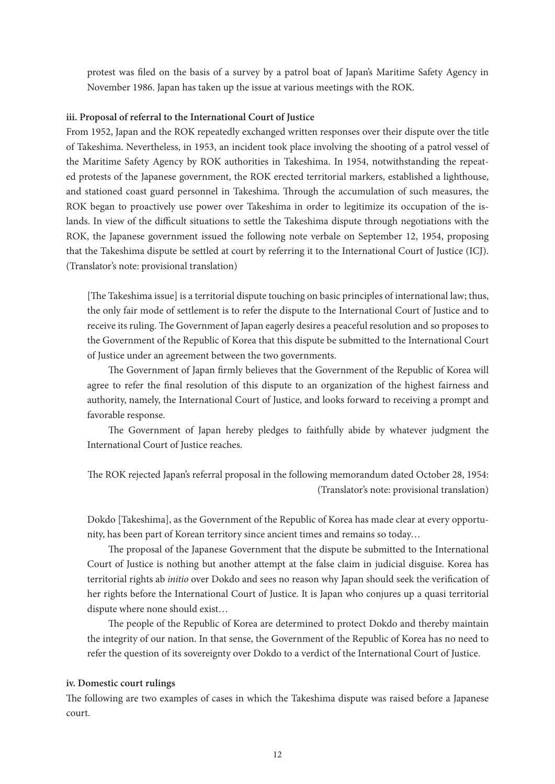protest was filed on the basis of a survey by a patrol boat of Japan's Maritime Safety Agency in November 1986. Japan has taken up the issue at various meetings with the ROK.

## **iii. Proposal of referral to the International Court of Justice**

From 1952, Japan and the ROK repeatedly exchanged written responses over their dispute over the title of Takeshima. Nevertheless, in 1953, an incident took place involving the shooting of a patrol vessel of the Maritime Safety Agency by ROK authorities in Takeshima. In 1954, notwithstanding the repeated protests of the Japanese government, the ROK erected territorial markers, established a lighthouse, and stationed coast guard personnel in Takeshima. Through the accumulation of such measures, the ROK began to proactively use power over Takeshima in order to legitimize its occupation of the islands. In view of the difficult situations to settle the Takeshima dispute through negotiations with the ROK, the Japanese government issued the following note verbale on September 12, 1954, proposing that the Takeshima dispute be settled at court by referring it to the International Court of Justice (ICJ). (Translator's note: provisional translation)

[The Takeshima issue] is a territorial dispute touching on basic principles of international law; thus, the only fair mode of settlement is to refer the dispute to the International Court of Justice and to receive its ruling. The Government of Japan eagerly desires a peaceful resolution and so proposes to the Government of the Republic of Korea that this dispute be submitted to the International Court of Justice under an agreement between the two governments.

The Government of Japan firmly believes that the Government of the Republic of Korea will agree to refer the final resolution of this dispute to an organization of the highest fairness and authority, namely, the International Court of Justice, and looks forward to receiving a prompt and favorable response.

The Government of Japan hereby pledges to faithfully abide by whatever judgment the International Court of Justice reaches.

The ROK rejected Japan's referral proposal in the following memorandum dated October 28, 1954: (Translator's note: provisional translation)

Dokdo [Takeshima], as the Government of the Republic of Korea has made clear at every opportunity, has been part of Korean territory since ancient times and remains so today…

The proposal of the Japanese Government that the dispute be submitted to the International Court of Justice is nothing but another attempt at the false claim in judicial disguise. Korea has territorial rights ab *initio* over Dokdo and sees no reason why Japan should seek the verification of her rights before the International Court of Justice. It is Japan who conjures up a quasi territorial dispute where none should exist…

The people of the Republic of Korea are determined to protect Dokdo and thereby maintain the integrity of our nation. In that sense, the Government of the Republic of Korea has no need to refer the question of its sovereignty over Dokdo to a verdict of the International Court of Justice.

## **iv. Domestic court rulings**

The following are two examples of cases in which the Takeshima dispute was raised before a Japanese court.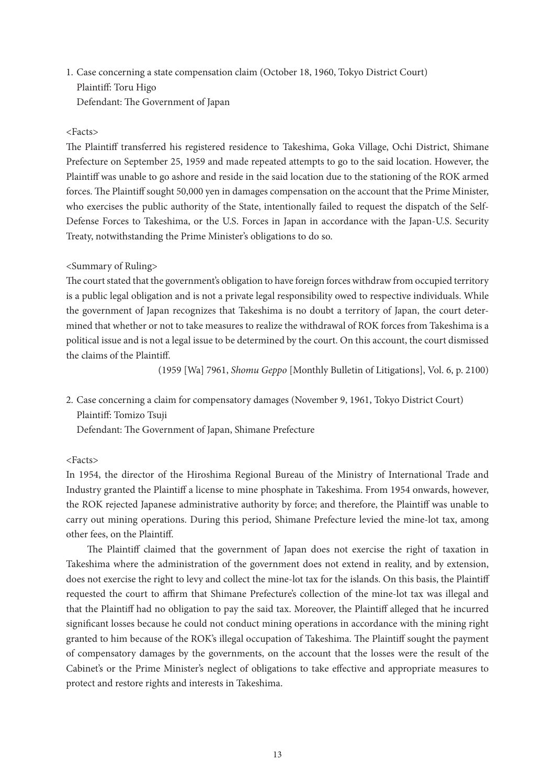# 1. Case concerning a state compensation claim (October 18, 1960, Tokyo District Court) Plaintiff: Toru Higo Defendant: The Government of Japan

## <Facts>

The Plaintiff transferred his registered residence to Takeshima, Goka Village, Ochi District, Shimane Prefecture on September 25, 1959 and made repeated attempts to go to the said location. However, the Plaintiff was unable to go ashore and reside in the said location due to the stationing of the ROK armed forces. The Plaintiff sought 50,000 yen in damages compensation on the account that the Prime Minister, who exercises the public authority of the State, intentionally failed to request the dispatch of the Self-Defense Forces to Takeshima, or the U.S. Forces in Japan in accordance with the Japan-U.S. Security Treaty, notwithstanding the Prime Minister's obligations to do so.

# <Summary of Ruling>

The court stated that the government's obligation to have foreign forces withdraw from occupied territory is a public legal obligation and is not a private legal responsibility owed to respective individuals. While the government of Japan recognizes that Takeshima is no doubt a territory of Japan, the court determined that whether or not to take measures to realize the withdrawal of ROK forces from Takeshima is a political issue and is not a legal issue to be determined by the court. On this account, the court dismissed the claims of the Plaintiff.

(1959 [Wa] 7961, *Shomu Geppo* [Monthly Bulletin of Litigations], Vol. 6, p. 2100)

2. Case concerning a claim for compensatory damages (November 9, 1961, Tokyo District Court) Plaintiff: Tomizo Tsuji

Defendant: The Government of Japan, Shimane Prefecture

# <Facts>

In 1954, the director of the Hiroshima Regional Bureau of the Ministry of International Trade and Industry granted the Plaintiff a license to mine phosphate in Takeshima. From 1954 onwards, however, the ROK rejected Japanese administrative authority by force; and therefore, the Plaintiff was unable to carry out mining operations. During this period, Shimane Prefecture levied the mine-lot tax, among other fees, on the Plaintiff.

The Plaintiff claimed that the government of Japan does not exercise the right of taxation in Takeshima where the administration of the government does not extend in reality, and by extension, does not exercise the right to levy and collect the mine-lot tax for the islands. On this basis, the Plaintiff requested the court to affirm that Shimane Prefecture's collection of the mine-lot tax was illegal and that the Plaintiff had no obligation to pay the said tax. Moreover, the Plaintiff alleged that he incurred significant losses because he could not conduct mining operations in accordance with the mining right granted to him because of the ROK's illegal occupation of Takeshima. The Plaintiff sought the payment of compensatory damages by the governments, on the account that the losses were the result of the Cabinet's or the Prime Minister's neglect of obligations to take effective and appropriate measures to protect and restore rights and interests in Takeshima.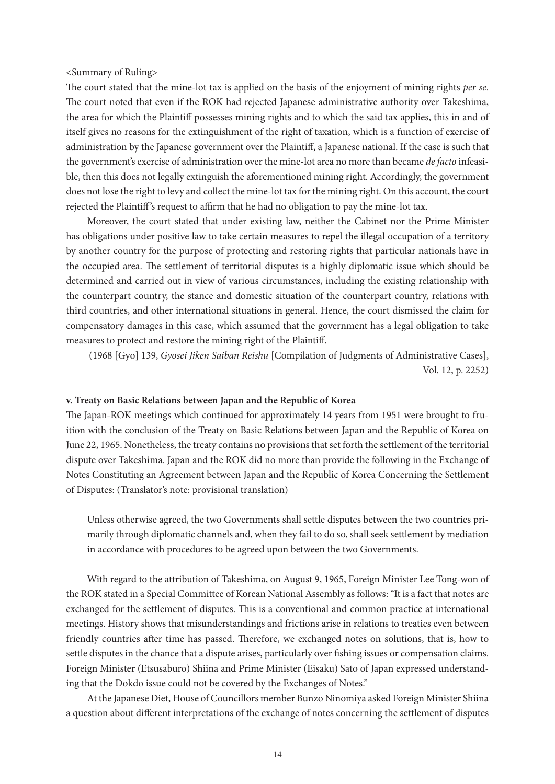<Summary of Ruling>

The court stated that the mine-lot tax is applied on the basis of the enjoyment of mining rights *per se*. The court noted that even if the ROK had rejected Japanese administrative authority over Takeshima, the area for which the Plaintiff possesses mining rights and to which the said tax applies, this in and of itself gives no reasons for the extinguishment of the right of taxation, which is a function of exercise of administration by the Japanese government over the Plaintiff, a Japanese national. If the case is such that the government's exercise of administration over the mine-lot area no more than became *de facto* infeasible, then this does not legally extinguish the aforementioned mining right. Accordingly, the government does not lose the right to levy and collect the mine-lot tax for the mining right. On this account, the court rejected the Plaintiff 's request to affirm that he had no obligation to pay the mine-lot tax.

Moreover, the court stated that under existing law, neither the Cabinet nor the Prime Minister has obligations under positive law to take certain measures to repel the illegal occupation of a territory by another country for the purpose of protecting and restoring rights that particular nationals have in the occupied area. The settlement of territorial disputes is a highly diplomatic issue which should be determined and carried out in view of various circumstances, including the existing relationship with the counterpart country, the stance and domestic situation of the counterpart country, relations with third countries, and other international situations in general. Hence, the court dismissed the claim for compensatory damages in this case, which assumed that the government has a legal obligation to take measures to protect and restore the mining right of the Plaintiff.

(1968 [Gyo] 139, *Gyosei Jiken Saiban Reishu* [Compilation of Judgments of Administrative Cases], Vol. 12, p. 2252)

### **v. Treaty on Basic Relations between Japan and the Republic of Korea**

The Japan-ROK meetings which continued for approximately 14 years from 1951 were brought to fruition with the conclusion of the Treaty on Basic Relations between Japan and the Republic of Korea on June 22, 1965. Nonetheless, the treaty contains no provisions that set forth the settlement of the territorial dispute over Takeshima. Japan and the ROK did no more than provide the following in the Exchange of Notes Constituting an Agreement between Japan and the Republic of Korea Concerning the Settlement of Disputes: (Translator's note: provisional translation)

Unless otherwise agreed, the two Governments shall settle disputes between the two countries primarily through diplomatic channels and, when they fail to do so, shall seek settlement by mediation in accordance with procedures to be agreed upon between the two Governments.

With regard to the attribution of Takeshima, on August 9, 1965, Foreign Minister Lee Tong-won of the ROK stated in a Special Committee of Korean National Assembly as follows: "It is a fact that notes are exchanged for the settlement of disputes. This is a conventional and common practice at international meetings. History shows that misunderstandings and frictions arise in relations to treaties even between friendly countries after time has passed. Therefore, we exchanged notes on solutions, that is, how to settle disputes in the chance that a dispute arises, particularly over fishing issues or compensation claims. Foreign Minister (Etsusaburo) Shiina and Prime Minister (Eisaku) Sato of Japan expressed understanding that the Dokdo issue could not be covered by the Exchanges of Notes."

At the Japanese Diet, House of Councillors member Bunzo Ninomiya asked Foreign Minister Shiina a question about different interpretations of the exchange of notes concerning the settlement of disputes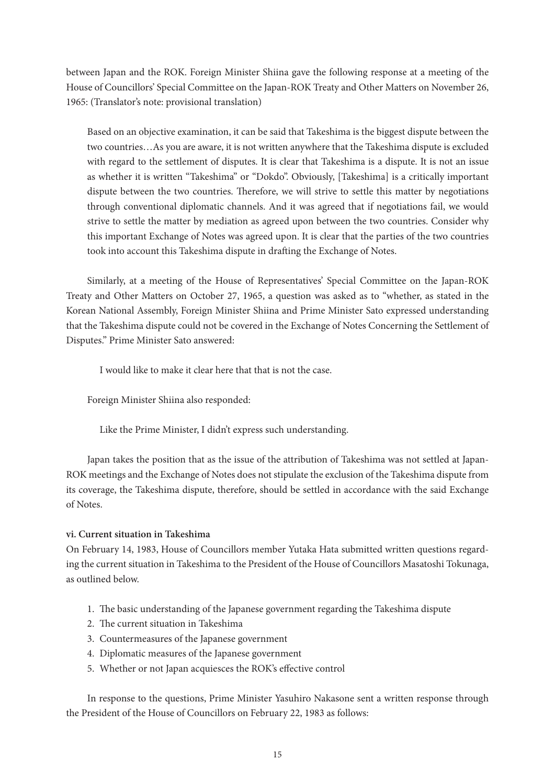between Japan and the ROK. Foreign Minister Shiina gave the following response at a meeting of the House of Councillors' Special Committee on the Japan-ROK Treaty and Other Matters on November 26, 1965: (Translator's note: provisional translation)

Based on an objective examination, it can be said that Takeshima is the biggest dispute between the two countries…As you are aware, it is not written anywhere that the Takeshima dispute is excluded with regard to the settlement of disputes. It is clear that Takeshima is a dispute. It is not an issue as whether it is written "Takeshima" or "Dokdo". Obviously, [Takeshima] is a critically important dispute between the two countries. Therefore, we will strive to settle this matter by negotiations through conventional diplomatic channels. And it was agreed that if negotiations fail, we would strive to settle the matter by mediation as agreed upon between the two countries. Consider why this important Exchange of Notes was agreed upon. It is clear that the parties of the two countries took into account this Takeshima dispute in drafting the Exchange of Notes.

Similarly, at a meeting of the House of Representatives' Special Committee on the Japan-ROK Treaty and Other Matters on October 27, 1965, a question was asked as to "whether, as stated in the Korean National Assembly, Foreign Minister Shiina and Prime Minister Sato expressed understanding that the Takeshima dispute could not be covered in the Exchange of Notes Concerning the Settlement of Disputes." Prime Minister Sato answered:

I would like to make it clear here that that is not the case.

Foreign Minister Shiina also responded:

Like the Prime Minister, I didn't express such understanding.

Japan takes the position that as the issue of the attribution of Takeshima was not settled at Japan-ROK meetings and the Exchange of Notes does not stipulate the exclusion of the Takeshima dispute from its coverage, the Takeshima dispute, therefore, should be settled in accordance with the said Exchange of Notes.

# **vi. Current situation in Takeshima**

On February 14, 1983, House of Councillors member Yutaka Hata submitted written questions regarding the current situation in Takeshima to the President of the House of Councillors Masatoshi Tokunaga, as outlined below.

- 1. The basic understanding of the Japanese government regarding the Takeshima dispute
- 2. The current situation in Takeshima
- 3. Countermeasures of the Japanese government
- 4. Diplomatic measures of the Japanese government
- 5. Whether or not Japan acquiesces the ROK's effective control

In response to the questions, Prime Minister Yasuhiro Nakasone sent a written response through the President of the House of Councillors on February 22, 1983 as follows: